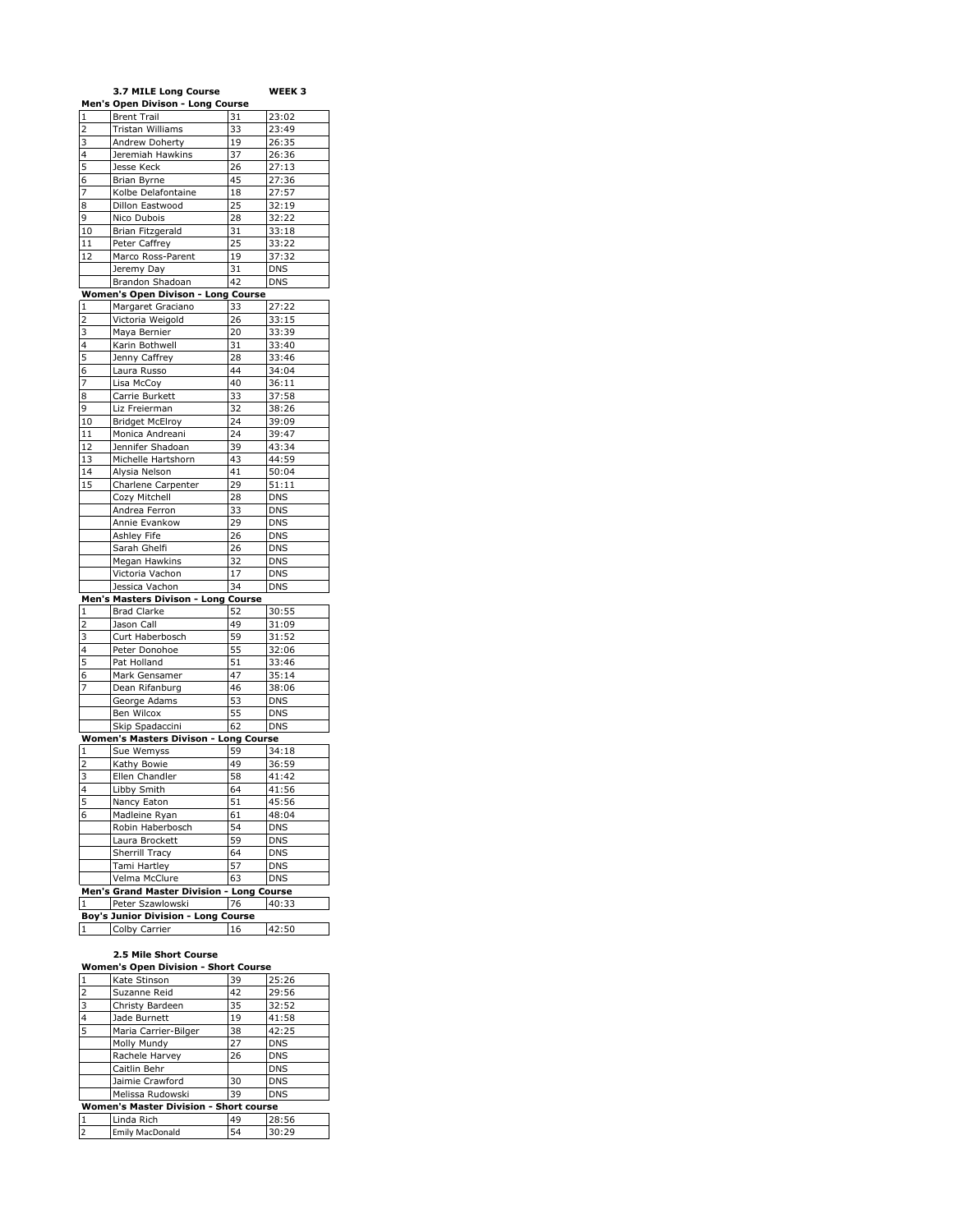|                         | 3.7 MILE Long Course                       |          | WEEK 3                   |
|-------------------------|--------------------------------------------|----------|--------------------------|
|                         | Men's Open Divison - Long Course           |          |                          |
| $\mathbf{1}$            | <b>Brent Trail</b>                         | 31       | 23:02                    |
| $\overline{2}$          | Tristan Williams                           | 33       | 23:49                    |
| 3                       | Andrew Doherty                             | 19       | 26:35                    |
| 4                       | Jeremiah Hawkins                           | 37       | 26:36                    |
| 5                       | Jesse Keck                                 | 26       | 27:13                    |
| 6                       | Brian Byrne                                | 45       | 27:36                    |
| 7                       | Kolbe Delafontaine                         | 18       | 27:57                    |
| 8                       | Dillon Eastwood                            | 25       | 32:19                    |
| 9                       | Nico Dubois                                | 28       | 32:22                    |
| 10                      | Brian Fitzgerald                           | 31       | 33:18                    |
| 11                      | Peter Caffrey                              | 25       | 33:22                    |
| 12                      | Marco Ross-Parent                          | 19       | 37:32                    |
|                         | Jeremy Day                                 | 31       | <b>DNS</b>               |
|                         |                                            | 42       | <b>DNS</b>               |
|                         | Brandon Shadoan                            |          |                          |
|                         | Women's Open Divison - Long Course         |          |                          |
| 1                       | Margaret Graciano                          | 33       | 27:22                    |
| $\overline{2}$          | Victoria Weigold                           | 26       | 33:15                    |
| 3                       | Maya Bernier                               | 20       | 33:39                    |
| 4                       | Karin Bothwell                             | 31       | 33:40                    |
| 5                       | Jenny Caffrey                              | 28       | 33:46                    |
| 6                       | Laura Russo                                | 44       | 34:04                    |
| 7                       | Lisa McCoy                                 | 40       | 36:11                    |
| 8                       | Carrie Burkett                             | 33       | 37:58                    |
| 9                       | Liz Freierman                              | 32       | 38:26                    |
| 10                      | <b>Bridget McElroy</b>                     | 24       | 39:09                    |
| 11                      | Monica Andreani                            | 24       | 39:47                    |
| 12                      | Jennifer Shadoan                           | 39       | 43:34                    |
| 13                      | Michelle Hartshorn                         | 43       | 44:59                    |
| 14                      | Alysia Nelson                              | 41       | 50:04                    |
| 15                      | Charlene Carpenter                         | 29       | 51:11                    |
|                         | Cozy Mitchell                              | 28       | <b>DNS</b>               |
|                         | Andrea Ferron                              | 33       | <b>DNS</b>               |
|                         | Annie Evankow                              | 29       | <b>DNS</b>               |
|                         | Ashley Fife                                | 26       | <b>DNS</b>               |
|                         | Sarah Ghelfi                               | 26       | <b>DNS</b>               |
|                         | Megan Hawkins                              | 32       | <b>DNS</b>               |
|                         | Victoria Vachon                            | 17       | <b>DNS</b>               |
|                         | Jessica Vachon                             | 34       | <b>DNS</b>               |
|                         | Men's Masters Divison - Long               | Course   |                          |
| 1                       | <b>Brad Clarke</b>                         | 52       | 30:55                    |
| $\overline{\mathbf{c}}$ | Jason Call                                 | 49       | 31:09                    |
| 3                       | Curt Haberbosch                            | 59       | 31:52                    |
| $\overline{4}$          | Peter Donohoe                              | 55       | 32:06                    |
| 5                       | Pat Holland                                | 51       | 33:46                    |
| 6                       | Mark Gensamer                              | 47       | 35:14                    |
| 7                       | Dean Rifanburg                             | 46       |                          |
|                         | George Adams                               | 53       | 38:06<br><b>DNS</b>      |
|                         |                                            |          |                          |
|                         | Ben Wilcox<br>Skip Spadaccini              | 55<br>62 | <b>DNS</b><br><b>DNS</b> |
|                         |                                            |          |                          |
|                         | Women's Masters Divison - Long Course      |          |                          |
| 1                       | Sue Wemyss                                 | 59       | 34:18                    |
| $\overline{2}$          | Kathy Bowie                                | 49       | 36:59                    |
| 3                       | Ellen Chandler                             | 58       | 41:42                    |
| 4                       | Libby Smith                                | 64       | 41:56                    |
| 5                       | Nancy Eaton                                | 51       | 45:56                    |
| 6                       | Madleine Ryan                              | 61       | 48:04                    |
|                         | Robin Haberbosch                           | 54       | <b>DNS</b>               |
|                         | Laura Brockett                             | 59       | <b>DNS</b>               |
|                         | Sherrill Tracy                             | 64       | <b>DNS</b>               |
|                         | Tami Hartley                               | 57       | <b>DNS</b>               |
|                         | Velma McClure                              | 63       | <b>DNS</b>               |
|                         | Men's Grand Master Division - Long Course  |          |                          |
| $1\,$                   | Peter Szawlowski                           | 76       | 40:33                    |
|                         | <b>Boy's Junior Division - Long Course</b> |          |                          |
| 1                       | Colby Carrier                              | 16       | 42:50                    |
|                         |                                            |          |                          |

## **2.5 Mile Short Course**

| <b>Women's Open Division - Short Course</b>   |                        |    |            |
|-----------------------------------------------|------------------------|----|------------|
|                                               | Kate Stinson           | 39 | 25:26      |
| $\overline{2}$                                | Suzanne Reid           | 42 | 29:56      |
| 3                                             | Christy Bardeen        | 35 | 32:52      |
| 4                                             | Jade Burnett           | 19 | 41:58      |
| 5                                             | Maria Carrier-Bilger   | 38 | 42:25      |
|                                               | Molly Mundy            | 27 | <b>DNS</b> |
|                                               | Rachele Harvey         | 26 | <b>DNS</b> |
|                                               | Caitlin Behr           |    | <b>DNS</b> |
|                                               | Jaimie Crawford        | 30 | <b>DNS</b> |
|                                               | Melissa Rudowski       | 39 | <b>DNS</b> |
| <b>Women's Master Division - Short course</b> |                        |    |            |
|                                               | Linda Rich             | 49 | 28:56      |
| $\overline{2}$                                | <b>Emily MacDonald</b> | 54 | 30:29      |